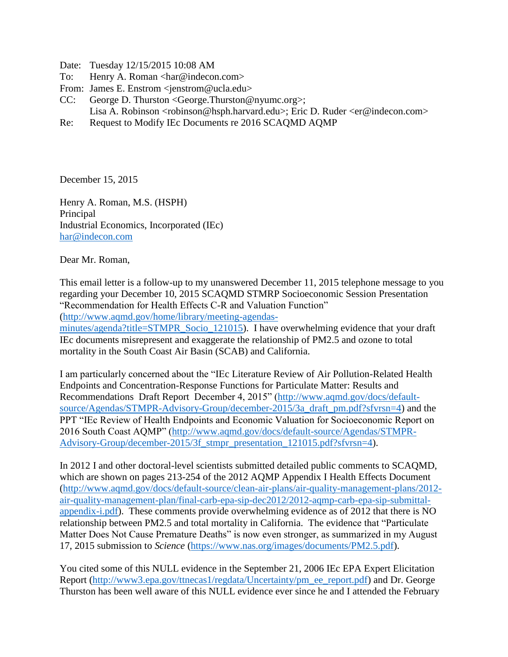Date: Tuesday 12/15/2015 10:08 AM

- To: Henry A. Roman <har@indecon.com>
- From: James E. Enstrom <jenstrom@ucla.edu>
- CC: George D. Thurston <George.Thurston@nyumc.org>; Lisa A. Robinson <robinson@hsph.harvard.edu>; Eric D. Ruder <er@indecon.com>
- Re: Request to Modify IEc Documents re 2016 SCAQMD AQMP

December 15, 2015

Henry A. Roman, M.S. (HSPH) Principal Industrial Economics, Incorporated (IEc) [har@indecon.com](mailto:har@indecon.com)

Dear Mr. Roman,

This email letter is a follow-up to my unanswered December 11, 2015 telephone message to you regarding your December 10, 2015 SCAQMD STMRP Socioeconomic Session Presentation "Recommendation for Health Effects C-R and Valuation Function"

[\(http://www.aqmd.gov/home/library/meeting-agendas-](http://www.aqmd.gov/home/library/meeting-agendas-minutes/agenda?title=STMPR_Socio_121015)

[minutes/agenda?title=STMPR\\_Socio\\_121015\)](http://www.aqmd.gov/home/library/meeting-agendas-minutes/agenda?title=STMPR_Socio_121015). I have overwhelming evidence that your draft IEc documents misrepresent and exaggerate the relationship of PM2.5 and ozone to total mortality in the South Coast Air Basin (SCAB) and California.

I am particularly concerned about the "IEc Literature Review of Air Pollution-Related Health Endpoints and Concentration-Response Functions for Particulate Matter: Results and Recommendations Draft Report December 4, 2015" [\(http://www.aqmd.gov/docs/default](http://www.aqmd.gov/docs/default-source/Agendas/STMPR-Advisory-Group/december-2015/3a_draft_pm.pdf?sfvrsn=4)[source/Agendas/STMPR-Advisory-Group/december-2015/3a\\_draft\\_pm.pdf?sfvrsn=4\)](http://www.aqmd.gov/docs/default-source/Agendas/STMPR-Advisory-Group/december-2015/3a_draft_pm.pdf?sfvrsn=4) and the PPT "IEc Review of Health Endpoints and Economic Valuation for Socioeconomic Report on 2016 South Coast AQMP" [\(http://www.aqmd.gov/docs/default-source/Agendas/STMPR-](http://www.aqmd.gov/docs/default-source/Agendas/STMPR-Advisory-Group/december-2015/3f_stmpr_presentation_121015.pdf?sfvrsn=4)[Advisory-Group/december-2015/3f\\_stmpr\\_presentation\\_121015.pdf?sfvrsn=4\)](http://www.aqmd.gov/docs/default-source/Agendas/STMPR-Advisory-Group/december-2015/3f_stmpr_presentation_121015.pdf?sfvrsn=4).

In 2012 I and other doctoral-level scientists submitted detailed public comments to SCAQMD, which are shown on pages 213-254 of the 2012 AQMP Appendix I Health Effects Document [\(http://www.aqmd.gov/docs/default-source/clean-air-plans/air-quality-management-plans/2012](http://www.aqmd.gov/docs/default-source/clean-air-plans/air-quality-management-plans/2012-air-quality-management-plan/final-carb-epa-sip-dec2012/2012-aqmp-carb-epa-sip-submittal-appendix-i.pdf) [air-quality-management-plan/final-carb-epa-sip-dec2012/2012-aqmp-carb-epa-sip-submittal](http://www.aqmd.gov/docs/default-source/clean-air-plans/air-quality-management-plans/2012-air-quality-management-plan/final-carb-epa-sip-dec2012/2012-aqmp-carb-epa-sip-submittal-appendix-i.pdf)[appendix-i.pdf\)](http://www.aqmd.gov/docs/default-source/clean-air-plans/air-quality-management-plans/2012-air-quality-management-plan/final-carb-epa-sip-dec2012/2012-aqmp-carb-epa-sip-submittal-appendix-i.pdf). These comments provide overwhelming evidence as of 2012 that there is NO relationship between PM2.5 and total mortality in California. The evidence that "Particulate Matter Does Not Cause Premature Deaths" is now even stronger, as summarized in my August 17, 2015 submission to *Science* [\(https://www.nas.org/images/documents/PM2.5.pdf\)](https://www.nas.org/images/documents/PM2.5.pdf).

You cited some of this NULL evidence in the September 21, 2006 IEc EPA Expert Elicitation Report [\(http://www3.epa.gov/ttnecas1/regdata/Uncertainty/pm\\_ee\\_report.pdf\)](http://www3.epa.gov/ttnecas1/regdata/Uncertainty/pm_ee_report.pdf) and Dr. George Thurston has been well aware of this NULL evidence ever since he and I attended the February